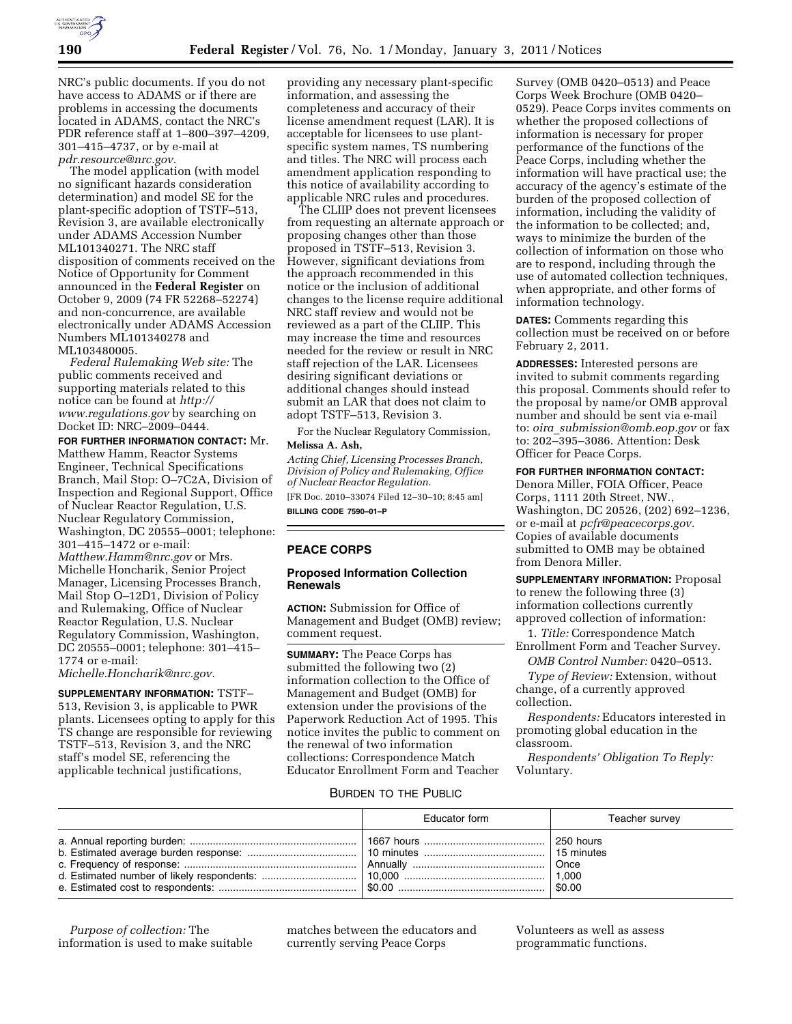

NRC's public documents. If you do not have access to ADAMS or if there are problems in accessing the documents located in ADAMS, contact the NRC's PDR reference staff at 1–800–397–4209, 301–415–4737, or by e-mail at *pdr.resource@nrc.gov.* 

The model application (with model no significant hazards consideration determination) and model SE for the plant-specific adoption of TSTF–513, Revision 3, are available electronically under ADAMS Accession Number ML101340271. The NRC staff disposition of comments received on the Notice of Opportunity for Comment announced in the **Federal Register** on October 9, 2009 (74 FR 52268–52274) and non-concurrence, are available electronically under ADAMS Accession Numbers ML101340278 and ML103480005.

*Federal Rulemaking Web site:* The public comments received and supporting materials related to this notice can be found at *http:// www.regulations.gov* by searching on Docket ID: NRC–2009–0444.

**FOR FURTHER INFORMATION CONTACT:** Mr. Matthew Hamm, Reactor Systems Engineer, Technical Specifications Branch, Mail Stop: O–7C2A, Division of Inspection and Regional Support, Office of Nuclear Reactor Regulation, U.S. Nuclear Regulatory Commission, Washington, DC 20555–0001; telephone: 301–415–1472 or e-mail: *Matthew.Hamm@nrc.gov* or Mrs. Michelle Honcharik, Senior Project Manager, Licensing Processes Branch, Mail Stop O–12D1, Division of Policy and Rulemaking, Office of Nuclear Reactor Regulation, U.S. Nuclear Regulatory Commission, Washington, DC 20555–0001; telephone: 301–415– 1774 or e-mail:

*Michelle.Honcharik@nrc.gov.* 

**SUPPLEMENTARY INFORMATION:** TSTF– 513, Revision 3, is applicable to PWR plants. Licensees opting to apply for this TS change are responsible for reviewing TSTF–513, Revision 3, and the NRC staff's model SE, referencing the applicable technical justifications,

providing any necessary plant-specific information, and assessing the completeness and accuracy of their license amendment request (LAR). It is acceptable for licensees to use plantspecific system names, TS numbering and titles. The NRC will process each amendment application responding to this notice of availability according to applicable NRC rules and procedures.

The CLIIP does not prevent licensees from requesting an alternate approach or proposing changes other than those proposed in TSTF–513, Revision 3. However, significant deviations from the approach recommended in this notice or the inclusion of additional changes to the license require additional NRC staff review and would not be reviewed as a part of the CLIIP. This may increase the time and resources needed for the review or result in NRC staff rejection of the LAR. Licensees desiring significant deviations or additional changes should instead submit an LAR that does not claim to adopt TSTF–513, Revision 3.

For the Nuclear Regulatory Commission, **Melissa A. Ash,** 

*Acting Chief, Licensing Processes Branch, Division of Policy and Rulemaking, Office of Nuclear Reactor Regulation.* 

[FR Doc. 2010–33074 Filed 12–30–10; 8:45 am] **BILLING CODE 7590–01–P** 

## **PEACE CORPS**

## **Proposed Information Collection Renewals**

**ACTION:** Submission for Office of Management and Budget (OMB) review; comment request.

**SUMMARY:** The Peace Corps has submitted the following two (2) information collection to the Office of Management and Budget (OMB) for extension under the provisions of the Paperwork Reduction Act of 1995. This notice invites the public to comment on the renewal of two information collections: Correspondence Match Educator Enrollment Form and Teacher

Survey (OMB 0420–0513) and Peace Corps Week Brochure (OMB 0420– 0529). Peace Corps invites comments on whether the proposed collections of information is necessary for proper performance of the functions of the Peace Corps, including whether the information will have practical use; the accuracy of the agency's estimate of the burden of the proposed collection of information, including the validity of the information to be collected; and, ways to minimize the burden of the collection of information on those who are to respond, including through the use of automated collection techniques, when appropriate, and other forms of information technology.

**DATES:** Comments regarding this collection must be received on or before February 2, 2011.

**ADDRESSES:** Interested persons are invited to submit comments regarding this proposal. Comments should refer to the proposal by name/or OMB approval number and should be sent via e-mail to: *oira*\_*submission@omb.eop.gov* or fax to: 202–395–3086. Attention: Desk Officer for Peace Corps.

### **FOR FURTHER INFORMATION CONTACT:**

Denora Miller, FOIA Officer, Peace Corps, 1111 20th Street, NW., Washington, DC 20526, (202) 692–1236, or e-mail at *pcfr@peacecorps.gov.*  Copies of available documents submitted to OMB may be obtained from Denora Miller.

**SUPPLEMENTARY INFORMATION:** Proposal to renew the following three (3) information collections currently approved collection of information:

1. *Title:* Correspondence Match Enrollment Form and Teacher Survey. *OMB Control Number:* 0420–0513.

*Type of Review:* Extension, without

change, of a currently approved collection.

*Respondents:* Educators interested in promoting global education in the classroom.

*Respondents' Obligation To Reply:*  Voluntary.

# BURDEN TO THE PUBLIC

| Educator form | Teacher survey |
|---------------|----------------|
|               | Once<br>1,000  |

*Purpose of collection:* The information is used to make suitable matches between the educators and currently serving Peace Corps

Volunteers as well as assess programmatic functions.